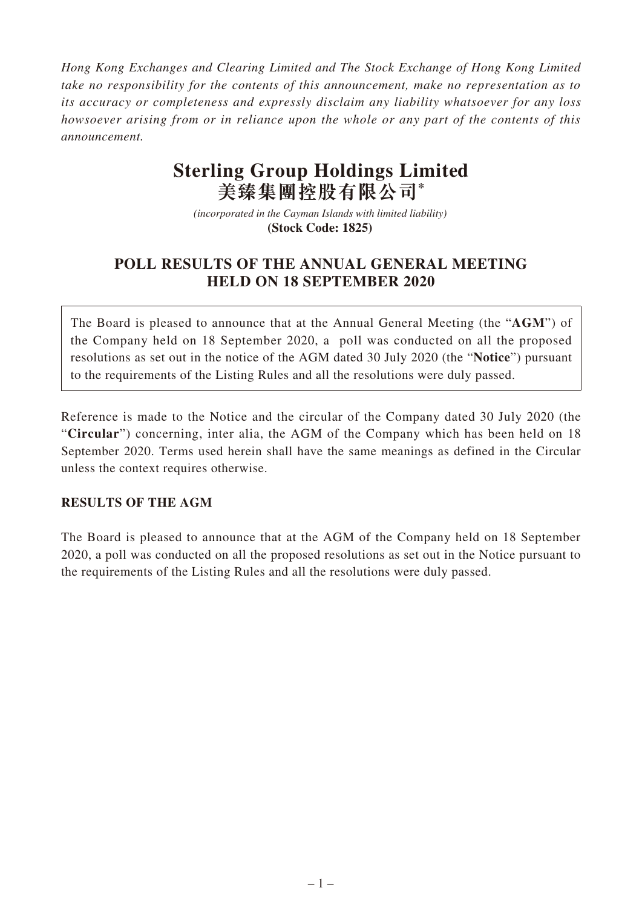*Hong Kong Exchanges and Clearing Limited and The Stock Exchange of Hong Kong Limited take no responsibility for the contents of this announcement, make no representation as to its accuracy or completeness and expressly disclaim any liability whatsoever for any loss howsoever arising from or in reliance upon the whole or any part of the contents of this announcement.*

## **Sterling Group Holdings Limited 美臻集團控股有限公司\***

*(incorporated in the Cayman Islands with limited liability)*  **(Stock Code: 1825)** 

## **POLL RESULTS OF THE ANNUAL GENERAL MEETING HELD ON 18 SEPTEMBER 2020**

The Board is pleased to announce that at the Annual General Meeting (the "**AGM**") of the Company held on 18 September 2020, a poll was conducted on all the proposed resolutions as set out in the notice of the AGM dated 30 July 2020 (the "**Notice**") pursuant to the requirements of the Listing Rules and all the resolutions were duly passed.

Reference is made to the Notice and the circular of the Company dated 30 July 2020 (the "**Circular**") concerning, inter alia, the AGM of the Company which has been held on 18 September 2020. Terms used herein shall have the same meanings as defined in the Circular unless the context requires otherwise.

## **RESULTS OF THE AGM**

The Board is pleased to announce that at the AGM of the Company held on 18 September 2020, a poll was conducted on all the proposed resolutions as set out in the Notice pursuant to the requirements of the Listing Rules and all the resolutions were duly passed.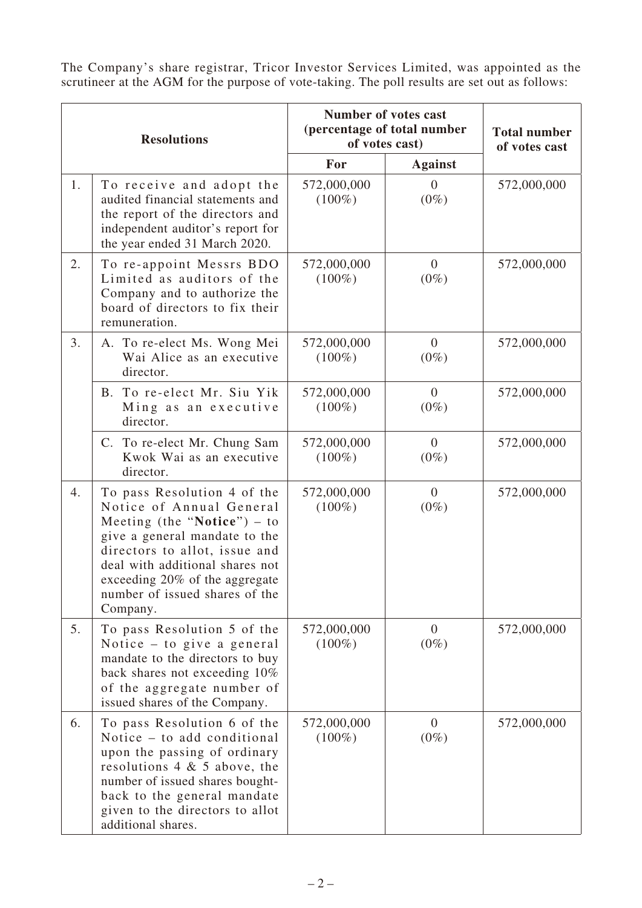The Company's share registrar, Tricor Investor Services Limited, was appointed as the scrutineer at the AGM for the purpose of vote-taking. The poll results are set out as follows:

| <b>Resolutions</b> |                                                                                                                                                                                                                                                                               | <b>Number of votes cast</b><br>(percentage of total number<br>of votes cast) |                           | <b>Total number</b><br>of votes cast |
|--------------------|-------------------------------------------------------------------------------------------------------------------------------------------------------------------------------------------------------------------------------------------------------------------------------|------------------------------------------------------------------------------|---------------------------|--------------------------------------|
|                    |                                                                                                                                                                                                                                                                               | For                                                                          | <b>Against</b>            |                                      |
| 1.                 | To receive and adopt the<br>audited financial statements and<br>the report of the directors and<br>independent auditor's report for<br>the year ended 31 March 2020.                                                                                                          | 572,000,000<br>$(100\%)$                                                     | $\overline{0}$<br>$(0\%)$ | 572,000,000                          |
| 2.                 | To re-appoint Messrs BDO<br>Limited as auditors of the<br>Company and to authorize the<br>board of directors to fix their<br>remuneration.                                                                                                                                    | 572,000,000<br>$(100\%)$                                                     | $\overline{0}$<br>$(0\%)$ | 572,000,000                          |
| 3.                 | A. To re-elect Ms. Wong Mei<br>Wai Alice as an executive<br>director.                                                                                                                                                                                                         | 572,000,000<br>$(100\%)$                                                     | $\overline{0}$<br>$(0\%)$ | 572,000,000                          |
|                    | B. To re-elect Mr. Siu Yik<br>Ming as an executive<br>director.                                                                                                                                                                                                               | 572,000,000<br>$(100\%)$                                                     | $\overline{0}$<br>$(0\%)$ | 572,000,000                          |
|                    | C. To re-elect Mr. Chung Sam<br>Kwok Wai as an executive<br>director.                                                                                                                                                                                                         | 572,000,000<br>$(100\%)$                                                     | $\overline{0}$<br>$(0\%)$ | 572,000,000                          |
| 4.                 | To pass Resolution 4 of the<br>Notice of Annual General<br>Meeting (the "Notice") $-$ to<br>give a general mandate to the<br>directors to allot, issue and<br>deal with additional shares not<br>exceeding 20% of the aggregate<br>number of issued shares of the<br>Company. | 572,000,000<br>$(100\%)$                                                     | $\overline{0}$<br>$(0\%)$ | 572,000,000                          |
| 5.                 | To pass Resolution 5 of the<br>Notice $-$ to give a general<br>mandate to the directors to buy<br>back shares not exceeding 10%<br>of the aggregate number of<br>issued shares of the Company.                                                                                | 572,000,000<br>$(100\%)$                                                     | $\overline{0}$<br>$(0\%)$ | 572,000,000                          |
| 6.                 | To pass Resolution 6 of the<br>Notice – to add conditional<br>upon the passing of ordinary<br>resolutions $4 \& 5$ above, the<br>number of issued shares bought-<br>back to the general mandate<br>given to the directors to allot<br>additional shares.                      | 572,000,000<br>$(100\%)$                                                     | $\overline{0}$<br>$(0\%)$ | 572,000,000                          |